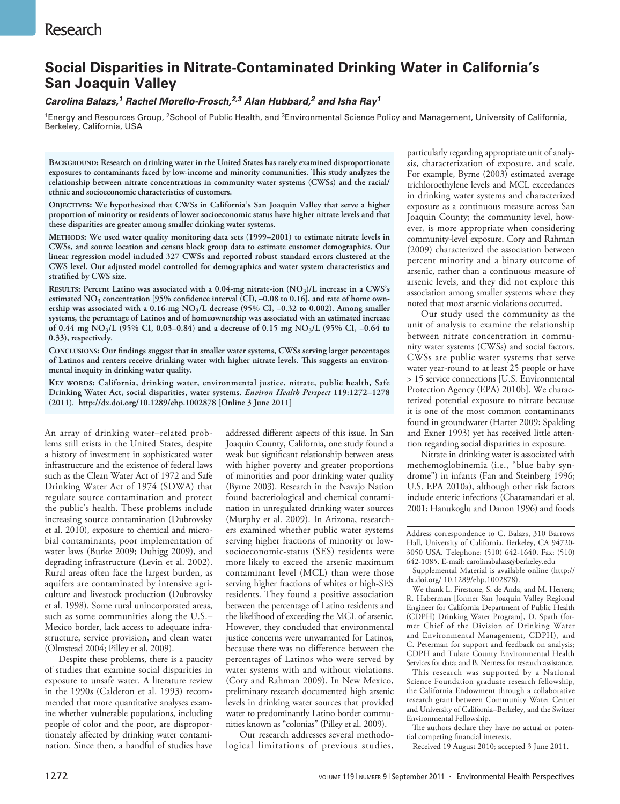# **Research**

## **Social Disparities in Nitrate-Contaminated Drinking Water in California's San Joaquin Valley**

## *Carolina Balazs, 1 Rachel Morello-Frosch, 2,3 Alan Hubbard, <sup>2</sup> and Isha Ray1*

<sup>1</sup>Energy and Resources Group, <sup>2</sup>School of Public Health, and <sup>3</sup>Environmental Science Policy and Management, University of California, Berkeley, California, USA

**Background: Research on drinking water in the United States has rarely examined disproportionate exposures to contaminants faced by low-income and minority communities. This study analyzes the relationship between nitrate concentrations in community water systems (CWSs) and the racial/ ethnic and socioeconomic characteristics of customers.**

**Objectives: We hypothesized that CWSs in California's San Joaquin Valley that serve a higher proportion of minority or residents of lower socioeconomic status have higher nitrate levels and that these disparities are greater among smaller drinking water systems.**

**Methods: We used water quality monitoring data sets (1999–2001) to estimate nitrate levels in CWSs, and source location and census block group data to estimate customer demographics. Our linear regression model included 327 CWSs and reported robust standard errors clustered at the CWS level. Our adjusted model controlled for demographics and water system characteristics and stratified by CWS size.**

**Results: Percent Latino was associated with a 0.04-mg nitrate-ion (NO3)/L increase in a CWS's** estimated NO<sub>3</sub> concentration [95% confidence interval (CI), -0.08 to 0.16], and rate of home ownership was associated with a 0.16-mg NO<sub>3</sub>/L decrease (95% CI, -0.32 to 0.002). Among smaller **systems, the percentage of Latinos and of homeownership was associated with an estimated increase of 0.44 mg NO3/L (95% CI, 0.03–0.84) and a decrease of 0.15 mg NO3/L (95% CI, –0.64 to 0.33), respectively.**

**Conclusions: Our findings suggest that in smaller water systems, CWSs serving larger percentages of Latinos and renters receive drinking water with higher nitrate levels. This suggests an environmental inequity in drinking water quality.**

**Key words: California, drinking water, environmental justice, nitrate, public health, Safe Drinking Water Act, social disparities, water systems.** *Environ Health Perspect* **119:1272–1278 (2011). http://dx.doi.org/10.1289/ehp.1002878 [Online 3 June 2011]**

An array of drinking water–related problems still exists in the United States, despite a history of investment in sophisticated water infrastructure and the existence of federal laws such as the Clean Water Act of 1972 and Safe Drinking Water Act of 1974 (SDWA) that regulate source contamination and protect the public's health. These problems include increasing source contamination (Dubrovsky et al. 2010), exposure to chemical and microbial contaminants, poor implementation of water laws (Burke 2009; Duhigg 2009), and degrading infrastructure (Levin et al. 2002). Rural areas often face the largest burden, as aquifers are contaminated by intensive agriculture and livestock production (Dubrovsky et al. 1998). Some rural unincorporated areas, such as some communities along the U.S.– Mexico border, lack access to adequate infrastructure, service provision, and clean water (Olmstead 2004; Pilley et al. 2009).

Despite these problems, there is a paucity of studies that examine social disparities in exposure to unsafe water. A literature review in the 1990s (Calderon et al. 1993) recommended that more quantitative analyses examine whether vulnerable populations, including people of color and the poor, are disproportionately affected by drinking water contamination. Since then, a handful of studies have

addressed different aspects of this issue. In San Joaquin County, California, one study found a weak but significant relationship between areas with higher poverty and greater proportions of minorities and poor drinking water quality (Byrne 2003). Research in the Navajo Nation found bacteriological and chemical contamination in unregulated drinking water sources (Murphy et al. 2009). In Arizona, researchers examined whether public water systems serving higher fractions of minority or lowsocioeconomic-status (SES) residents were more likely to exceed the arsenic maximum contaminant level (MCL) than were those serving higher fractions of whites or high-SES residents. They found a positive association between the percentage of Latino residents and the likelihood of exceeding the MCL of arsenic. However, they concluded that environmental justice concerns were unwarranted for Latinos, because there was no difference between the percentages of Latinos who were served by water systems with and without violations. (Cory and Rahman 2009). In New Mexico, preliminary research documented high arsenic levels in drinking water sources that provided water to predominantly Latino border communities known as "colonias" (Pilley et al. 2009).

Our research addresses several methodological limitations of previous studies, particularly regarding appropriate unit of analysis, characterization of exposure, and scale. For example, Byrne (2003) estimated average trichloroethylene levels and MCL exceedances in drinking water systems and characterized exposure as a continuous measure across San Joaquin County; the community level, however, is more appropriate when considering community-level exposure. Cory and Rahman (2009) characterized the association between percent minority and a binary outcome of arsenic, rather than a continuous measure of arsenic levels, and they did not explore this association among smaller systems where they noted that most arsenic violations occurred.

Our study used the community as the unit of analysis to examine the relationship between nitrate concentration in community water systems (CWSs) and social factors. CWSs are public water systems that serve water year-round to at least 25 people or have > 15 service connections [U.S. Environmental Protection Agency (EPA) 2010b]. We characterized potential exposure to nitrate because it is one of the most common contaminants found in groundwater (Harter 2009; Spalding and Exner 1993) yet has received little attention regarding social disparities in exposure.

Nitrate in drinking water is associated with methemoglobinemia (i.e., "blue baby syndrome") in infants (Fan and Steinberg 1996; U.S. EPA 2010a), although other risk factors include enteric infections (Charamandari et al. 2001; Hanukoglu and Danon 1996) and foods

Address correspondence to C. Balazs, 310 Barrows Hall, University of California, Berkeley, CA 94720- 3050 USA. Telephone: (510) 642-1640. Fax: (510) 642-1085. E-mail: carolinabalazs@berkeley.edu

Supplemental Material is available online (http:// dx.doi.org/ 10.1289/ehp.1002878).

We thank L. Firestone, S. de Anda, and M. Herrera; R. Haberman [former San Joaquin Valley Regional Engineer for California Department of Public Health (CDPH) Drinking Water Program], D. Spath (former Chief of the Division of Drinking Water and Environmental Management, CDPH), and C. Peterman for support and feedback on analysis; CDPH and Tulare County Environmental Health Services for data; and B. Nerness for research assistance.

This research was supported by a National Science Foundation graduate research fellowship, the California Endowment through a collaborative research grant between Community Water Center and University of California–Berkeley, and the Switzer Environmental Fellowship.

The authors declare they have no actual or potential competing financial interests.

Received 19 August 2010; accepted 3 June 2011.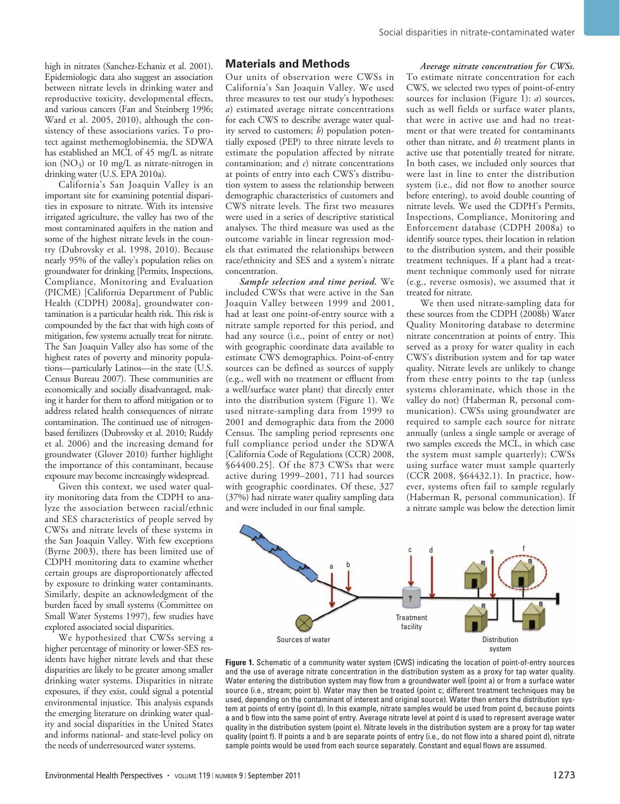high in nitrates (Sanchez-Echaniz et al. 2001). Epidemiologic data also suggest an association between nitrate levels in drinking water and reproductive toxicity, developmental effects, and various cancers (Fan and Steinberg 1996; Ward et al. 2005, 2010), although the consistency of these associations varies. To protect against methemoglobinemia, the SDWA has established an MCL of 45 mg/L as nitrate ion  $(NO_3)$  or 10 mg/L as nitrate-nitrogen in drinking water (U.S. EPA 2010a).

California's San Joaquin Valley is an important site for examining potential disparities in exposure to nitrate. With its intensive irrigated agriculture, the valley has two of the most contaminated aquifers in the nation and some of the highest nitrate levels in the country (Dubrovsky et al. 1998, 2010). Because nearly 95% of the valley's population relies on groundwater for drinking [Permits, Inspections, Compliance, Monitoring and Evaluation (PICME) [California Department of Public Health (CDPH) 2008a], groundwater contamination is a particular health risk. This risk is compounded by the fact that with high costs of mitigation, few systems actually treat for nitrate. The San Joaquin Valley also has some of the highest rates of poverty and minority populations—particularly Latinos—in the state (U.S. Census Bureau 2007). These communities are economically and socially disadvantaged, making it harder for them to afford mitigation or to address related health consequences of nitrate contamination. The continued use of nitrogenbased fertilizers (Dubrovsky et al. 2010; Ruddy et al. 2006) and the increasing demand for groundwater (Glover 2010) further highlight the importance of this contaminant, because exposure may become increasingly widespread.

Given this context, we used water quality monitoring data from the CDPH to analyze the association between racial/ethnic and SES characteristics of people served by CWSs and nitrate levels of these systems in the San Joaquin Valley. With few exceptions (Byrne 2003), there has been limited use of CDPH monitoring data to examine whether certain groups are disproportionately affected by exposure to drinking water contaminants. Similarly, despite an acknowledgment of the burden faced by small systems (Committee on Small Water Systems 1997), few studies have explored associated social disparities.

We hypothesized that CWSs serving a higher percentage of minority or lower-SES residents have higher nitrate levels and that these disparities are likely to be greater among smaller drinking water systems. Disparities in nitrate exposures, if they exist, could signal a potential environmental injustice. This analysis expands the emerging literature on drinking water quality and social disparities in the United States and informs national- and state-level policy on the needs of underresourced water systems.

### **Materials and Methods**

Our units of observation were CWSs in California's San Joaquin Valley. We used three measures to test our study's hypotheses: *a*) estimated average nitrate concentrations for each CWS to describe average water quality served to customers; *b*) population potentially exposed (PEP) to three nitrate levels to estimate the population affected by nitrate contamination; and *c*) nitrate concentrations at points of entry into each CWS's distribution system to assess the relationship between demographic characteristics of customers and CWS nitrate levels. The first two measures were used in a series of descriptive statistical analyses. The third measure was used as the outcome variable in linear regression models that estimated the relationships between race/ethnicity and SES and a system's nitrate concentration.

*Sample selection and time period.* We included CWSs that were active in the San Joaquin Valley between 1999 and 2001, had at least one point-of-entry source with a nitrate sample reported for this period, and had any source (i.e., point of entry or not) with geographic coordinate data available to estimate CWS demographics. Point-of-entry sources can be defined as sources of supply (e.g., well with no treatment or effluent from a well/surface water plant) that directly enter into the distribution system (Figure 1). We used nitrate-sampling data from 1999 to 2001 and demographic data from the 2000 Census. The sampling period represents one full compliance period under the SDWA [California Code of Regulations (CCR) 2008, §64400.25]. Of the 873 CWSs that were active during 1999–2001, 711 had sources with geographic coordinates. Of these, 327 (37%) had nitrate water quality sampling data and were included in our final sample.

*Average nitrate concentration for CWSs.*  To estimate nitrate concentration for each CWS, we selected two types of point-of-entry sources for inclusion (Figure 1): *a*) sources, such as well fields or surface water plants, that were in active use and had no treatment or that were treated for contaminants other than nitrate, and *b*) treatment plants in active use that potentially treated for nitrate. In both cases, we included only sources that were last in line to enter the distribution system (i.e., did not flow to another source before entering), to avoid double counting of nitrate levels. We used the CDPH's Permits, Inspections, Compliance, Monitoring and Enforcement database (CDPH 2008a) to identify source types, their location in relation to the distribution system, and their possible treatment techniques. If a plant had a treatment technique commonly used for nitrate (e.g., reverse osmosis), we assumed that it treated for nitrate.

We then used nitrate-sampling data for these sources from the CDPH (2008b) Water Quality Monitoring database to determine nitrate concentration at points of entry. This served as a proxy for water quality in each CWS's distribution system and for tap water quality. Nitrate levels are unlikely to change from these entry points to the tap (unless systems chloraminate, which those in the valley do not) (Haberman R, personal communication). CWSs using groundwater are required to sample each source for nitrate annually (unless a single sample or average of two samples exceeds the MCL, in which case the system must sample quarterly); CWSs using surface water must sample quarterly (CCR 2008, §64432.1). In practice, however, systems often fail to sample regularly (Haberman R, personal communication). If a nitrate sample was below the detection limit



**Figure 1.** Schematic of a community water system (CWS) indicating the location of point-of-entry sources and the use of average nitrate concentration in the distribution system as a proxy for tap water quality. Water entering the distribution system may flow from a groundwater well (point a) or from a surface water source (i.e., stream; point b). Water may then be treated (point c; different treatment techniques may be used, depending on the contaminant of interest and original source). Water then enters the distribution system at points of entry (point d). In this example, nitrate samples would be used from point d, because points a and b flow into the same point of entry. Average nitrate level at point d is used to represent average water quality in the distribution system (point e). Nitrate levels in the distribution system are a proxy for tap water quality (point f). If points a and b are separate points of entry (i.e., do not flow into a shared point d), nitrate sample points would be used from each source separately. Constant and equal flows are assumed.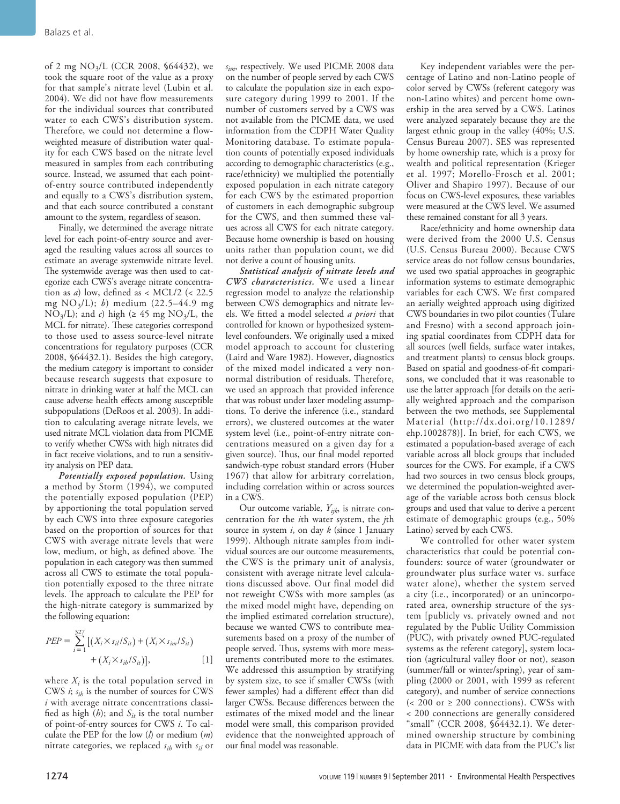of 2 mg NO3/L (CCR 2008, §64432), we took the square root of the value as a proxy for that sample's nitrate level (Lubin et al. 2004). We did not have flow measurements for the individual sources that contributed water to each CWS's distribution system. Therefore, we could not determine a flowweighted measure of distribution water quality for each CWS based on the nitrate level measured in samples from each contributing source. Instead, we assumed that each pointof-entry source contributed independently and equally to a CWS's distribution system, and that each source contributed a constant amount to the system, regardless of season.

Finally, we determined the average nitrate level for each point-of-entry source and averaged the resulting values across all sources to estimate an average systemwide nitrate level. The systemwide average was then used to categorize each CWS's average nitrate concentration as *a*) low, defined as < MCL/2 (< 22.5 mg NO3/L); *b*) medium (22.5–44.9 mg NO<sub>3</sub>/L); and *c*) high ( $\geq 45$  mg NO<sub>3</sub>/L, the MCL for nitrate). These categories correspond to those used to assess source-level nitrate concentrations for regulatory purposes (CCR 2008, §64432.1). Besides the high category, the medium category is important to consider because research suggests that exposure to nitrate in drinking water at half the MCL can cause adverse health effects among susceptible subpopulations (DeRoos et al. 2003). In addition to calculating average nitrate levels, we used nitrate MCL violation data from PICME to verify whether CWSs with high nitrates did in fact receive violations, and to run a sensitivity analysis on PEP data.

*Potentially exposed population.* Using a method by Storm (1994), we computed the potentially exposed population (PEP) by apportioning the total population served by each CWS into three exposure categories based on the proportion of sources for that CWS with average nitrate levels that were low, medium, or high, as defined above. The population in each category was then summed across all CWS to estimate the total population potentially exposed to the three nitrate levels. The approach to calculate the PEP for the high-nitrate category is summarized by the following equation:

$$
PEP = \sum_{i=1}^{327} [(X_i \times s_{il}/S_{it}) + (X_i \times s_{im}/S_{it}) + (X_i \times s_{ih}/S_{it})],
$$
 [1]

where  $X_i$  is the total population served in CWS *i*; *sih* is the number of sources for CWS *i* with average nitrate concentrations classified as high  $(h)$ ; and  $S_{it}$  is the total number of point-of-entry sources for CWS *i*. To calculate the PEP for the low (*l*) or medium (*m*) nitrate categories, we replaced *sih* with *sil* or

*sim*, respectively. We used PICME 2008 data on the number of people served by each CWS to calculate the population size in each exposure category during 1999 to 2001. If the number of customers served by a CWS was not available from the PICME data, we used information from the CDPH Water Quality Monitoring database. To estimate population counts of potentially exposed individuals according to demographic characteristics (e.g., race/ethnicity) we multiplied the potentially exposed population in each nitrate category for each CWS by the estimated proportion of customers in each demographic subgroup for the CWS, and then summed these values across all CWS for each nitrate category. Because home ownership is based on housing units rather than population count, we did not derive a count of housing units.

*Statistical analysis of nitrate levels and CWS characteristics.* We used a linear regression model to analyze the relationship between CWS demographics and nitrate levels. We fitted a model selected *a priori* that controlled for known or hypothesized systemlevel confounders. We originally used a mixed model approach to account for clustering (Laird and Ware 1982). However, diagnostics of the mixed model indicated a very nonnormal distribution of residuals. Therefore, we used an approach that provided inference that was robust under laxer modeling assumptions. To derive the inference (i.e., standard errors), we clustered outcomes at the water system level (i.e., point-of-entry nitrate concentrations measured on a given day for a given source). Thus, our final model reported sandwich-type robust standard errors (Huber 1967) that allow for arbitrary correlation, including correlation within or across sources in a CWS.

Our outcome variable, *Yijk*, is nitrate concentration for the *i*th water system, the *j*th source in system *i*, on day *k* (since 1 January 1999). Although nitrate samples from individual sources are our outcome measurements, the CWS is the primary unit of analysis, consistent with average nitrate level calculations discussed above. Our final model did not reweight CWSs with more samples (as the mixed model might have, depending on the implied estimated correlation structure), because we wanted CWS to contribute measurements based on a proxy of the number of people served. Thus, systems with more measurements contributed more to the estimates. We addressed this assumption by stratifying by system size, to see if smaller CWSs (with fewer samples) had a different effect than did larger CWSs. Because differences between the estimates of the mixed model and the linear model were small, this comparison provided evidence that the nonweighted approach of our final model was reasonable.

Key independent variables were the percentage of Latino and non-Latino people of color served by CWSs (referent category was non-Latino whites) and percent home ownership in the area served by a CWS. Latinos were analyzed separately because they are the largest ethnic group in the valley (40%; U.S. Census Bureau 2007). SES was represented by home ownership rate, which is a proxy for wealth and political representation (Krieger et al. 1997; Morello-Frosch et al. 2001; Oliver and Shapiro 1997). Because of our focus on CWS-level exposures, these variables were measured at the CWS level. We assumed these remained constant for all 3 years.

Race/ethnicity and home ownership data were derived from the 2000 U.S. Census (U.S. Census Bureau 2000). Because CWS service areas do not follow census boundaries, we used two spatial approaches in geographic information systems to estimate demographic variables for each CWS. We first compared an aerially weighted approach using digitized CWS boundaries in two pilot counties (Tulare and Fresno) with a second approach joining spatial coordinates from CDPH data for all sources (well fields, surface water intakes, and treatment plants) to census block groups. Based on spatial and goodness-of-fit comparisons, we concluded that it was reasonable to use the latter approach [for details on the aerially weighted approach and the comparison between the two methods, see Supplemental Material (http://dx.doi.org/10.1289/ ehp.1002878)]. In brief, for each CWS, we estimated a population-based average of each variable across all block groups that included sources for the CWS. For example, if a CWS had two sources in two census block groups, we determined the population-weighted average of the variable across both census block groups and used that value to derive a percent estimate of demographic groups (e.g., 50% Latino) served by each CWS.

We controlled for other water system characteristics that could be potential confounders: source of water (groundwater or groundwater plus surface water vs. surface water alone), whether the system served a city (i.e., incorporated) or an unincorporated area, ownership structure of the system [publicly vs. privately owned and not regulated by the Public Utility Commission (PUC), with privately owned PUC-regulated systems as the referent category], system location (agricultural valley floor or not), season (summer/fall or winter/spring), year of sampling (2000 or 2001, with 1999 as referent category), and number of service connections  $\approx 200$  or  $\geq 200$  connections). CWSs with < 200 connections are generally considered "small" (CCR 2008, §64432.1). We determined ownership structure by combining data in PICME with data from the PUC's list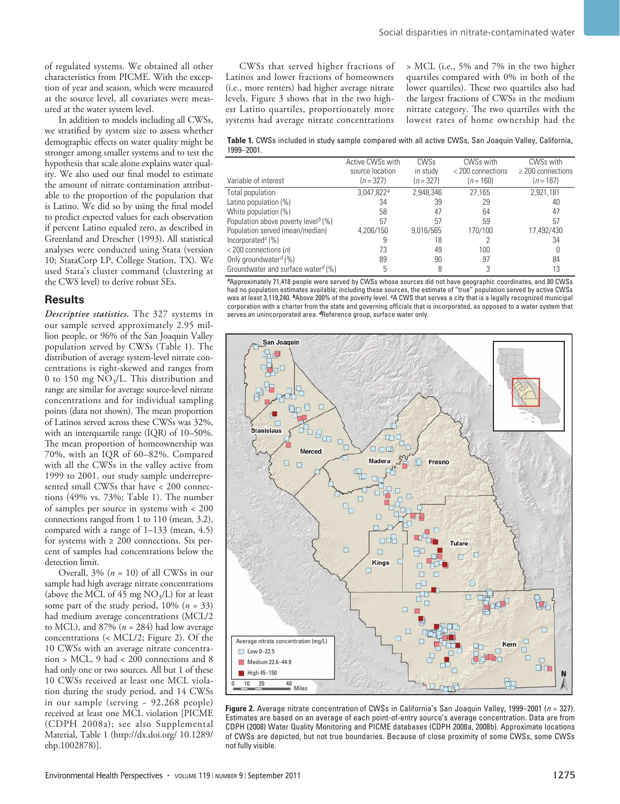of regulated systems. We obtained all other characteristics from PICME. With the exception of year and season, which were measured at the source level, all covariates were measured at the water system level.

In addition to models including all CWSs, we stratified by system size to assess whether demographic effects on water quality might be stronger among smaller systems and to test the hypothesis that scale alone explains water quality. We also used our final model to estimate the amount of nitrate contamination attributable to the proportion of the population that is Latino. We did so by using the final model to predict expected values for each observation if percent Latino equaled zero, as described in Greenland and Drescher (1993). All statistical analyses were conducted using Stata (version 10; StataCorp LP, College Station, TX). We used Stata's cluster command (clustering at the CWS level) to derive robust SEs.

### **Results**

*Descriptive statistics.* The 327 systems in our sample served approximately 2.95 million people, or 96% of the San Joaquin Valley population served by CWSs (Table 1). The distribution of average system-level nitrate concentrations is right-skewed and ranges from 0 to 150 mg  $NO_3/L$ . This distribution and range are similar for average source-level nitrate concentrations and for individual sampling points (data not shown). The mean proportion of Latinos served across these CWSs was 32%, with an interquartile range (IQR) of 10–50%. The mean proportion of homeownership was 70%, with an IQR of 60–82%. Compared with all the CWSs in the valley active from 1999 to 2001, our study sample underrepresented small CWSs that have < 200 connections (49% vs. 73%; Table 1). The number of samples per source in systems with < 200 connections ranged from 1 to 110 (mean, 3.2), compared with a range of 1–133 (mean, 4.5) for systems with  $\geq 200$  connections. Six percent of samples had concentrations below the detection limit.

Overall,  $3\%$  ( $n = 10$ ) of all CWSs in our sample had high average nitrate concentrations (above the MCL of 45 mg  $NO<sub>3</sub>/L$ ) for at least some part of the study period,  $10\%$  ( $n = 33$ ) had medium average concentrations (MCL/2 to MCL), and  $87\%$  ( $n = 284$ ) had low average concentrations (< MCL/2; Figure 2). Of the 10 CWSs with an average nitrate concentration > MCL, 9 had < 200 connections and 8 had only one or two sources. All but 1 of these 10 CWSs received at least one MCL violation during the study period, and 14 CWSs in our sample (serving ~ 92,268 people) received at least one MCL violation [PICME (CDPH 2008a); see also Supplemental Material, Table 1 (http://dx.doi.org/ 10.1289/ ehp.1002878)].

CWSs that served higher fractions of Latinos and lower fractions of homeowners (i.e., more renters) had higher average nitrate levels. Figure 3 shows that in the two highest Latino quartiles, proportionately more systems had average nitrate concentrations

> MCL (i.e., 5% and 7% in the two higher quartiles compared with 0% in both of the lower quartiles). These two quartiles also had the largest fractions of CWSs in the medium nitrate category. The two quartiles with the lowest rates of home ownership had the

**Table 1.** CWSs included in study sample compared with all active CWSs, San Joaquin Valley, California, 1999–2001.

| Active CWSs with<br><b>CWSs</b><br>CWSs with<br>source location<br>< 200 connections<br>in study<br>Variable of interest<br>$(n = 327)$<br>$(n = 327)$<br>$(n = 160)$<br>$(n = 167)$<br>2.948.346<br>3.047.822 <sup>a</sup><br>27.165<br>Total population<br>Latino population (%)<br>34<br>39<br>29<br>White population (%)<br>64<br>47<br>58<br>47<br>Population above poverty level <sup>b</sup> (%)<br>59<br>57<br>57<br>57<br>Population served (mean/median)<br>4,206/150<br>9,016/565<br>170/100<br>Incorporated <sup>c</sup> (%)<br>18<br>9<br>73<br>100<br>$<$ 200 connections ( <i>n</i> )<br>49<br>Only groundwater <sup>d</sup> (%)<br>89<br>97<br>90 |                                                |   |   |   |                                     |
|-------------------------------------------------------------------------------------------------------------------------------------------------------------------------------------------------------------------------------------------------------------------------------------------------------------------------------------------------------------------------------------------------------------------------------------------------------------------------------------------------------------------------------------------------------------------------------------------------------------------------------------------------------------------|------------------------------------------------|---|---|---|-------------------------------------|
|                                                                                                                                                                                                                                                                                                                                                                                                                                                                                                                                                                                                                                                                   |                                                |   |   |   | CWSs with<br>$\geq$ 200 connections |
|                                                                                                                                                                                                                                                                                                                                                                                                                                                                                                                                                                                                                                                                   |                                                |   |   |   | 2.921.181                           |
|                                                                                                                                                                                                                                                                                                                                                                                                                                                                                                                                                                                                                                                                   |                                                |   |   |   | 40                                  |
|                                                                                                                                                                                                                                                                                                                                                                                                                                                                                                                                                                                                                                                                   |                                                |   |   |   |                                     |
|                                                                                                                                                                                                                                                                                                                                                                                                                                                                                                                                                                                                                                                                   |                                                |   |   |   |                                     |
|                                                                                                                                                                                                                                                                                                                                                                                                                                                                                                                                                                                                                                                                   |                                                |   |   |   | 17,492/430                          |
|                                                                                                                                                                                                                                                                                                                                                                                                                                                                                                                                                                                                                                                                   |                                                |   |   |   | 34                                  |
|                                                                                                                                                                                                                                                                                                                                                                                                                                                                                                                                                                                                                                                                   |                                                |   |   |   |                                     |
|                                                                                                                                                                                                                                                                                                                                                                                                                                                                                                                                                                                                                                                                   |                                                |   |   |   | 84                                  |
|                                                                                                                                                                                                                                                                                                                                                                                                                                                                                                                                                                                                                                                                   | Groundwater and surface water <sup>d</sup> (%) | 5 | 8 | 3 | 13                                  |

*<sup>a</sup>*Approximately 71,418 people were served by CWSs whose sources did not have geographic coordinates, and 80 CWSs had no population estimates available; including these sources, the estimate of "true" population served by active CWSs was at least 3,119,240. *b*Above 200% of the poverty level. *c*A CWS that serves a city that is a legally recognized municipal corporation with a charter from the state and governing officials that is incorporated, as opposed to a water system that serves an unincorporated area. *d*Reference group, surface water only.



**Figure 2.** Average nitrate concentration of CWSs in California's San Joaquin Valley, 1999–2001 (*n* = 327). Estimates are based on an average of each point-of-entry source's average concentration. Data are from CDPH (2008) Water Quality Monitoring and PICME databases (CDPH 2008a, 2008b). Approximate locations of CWSs are depicted, but not true boundaries. Because of close proximity of some CWSs, some CWSs not fully visible.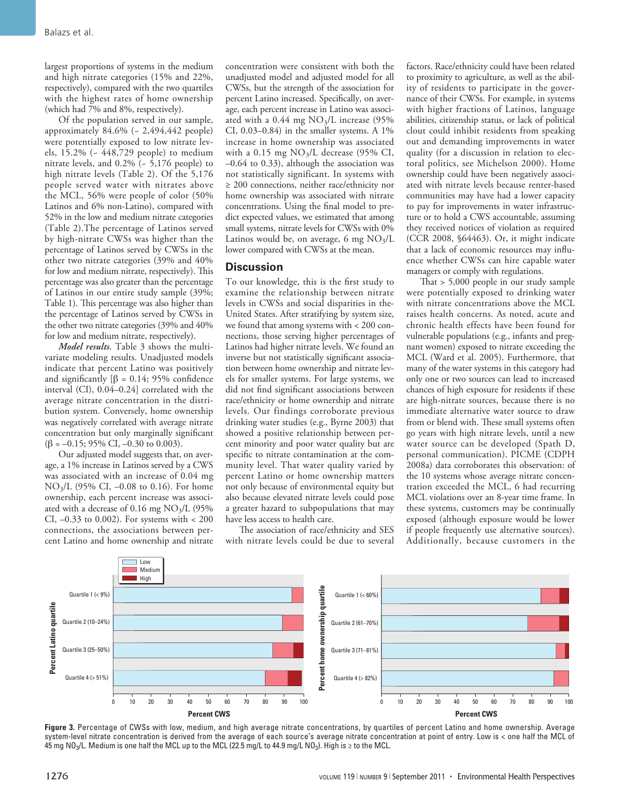largest proportions of systems in the medium and high nitrate categories (15% and 22%, respectively), compared with the two quartiles with the highest rates of home ownership (which had 7% and 8%, respectively).

Of the population served in our sample, approximately  $84.6\%$  ( $\sim 2,494,442$  people) were potentially exposed to low nitrate levels, 15.2% (~ 448,729 people) to medium nitrate levels, and 0.2% (~ 5,176 people) to high nitrate levels (Table 2). Of the 5,176 people served water with nitrates above the MCL, 56% were people of color (50% Latinos and 6% non-Latino), compared with 52% in the low and medium nitrate categories (Table 2).The percentage of Latinos served by high-nitrate CWSs was higher than the percentage of Latinos served by CWSs in the other two nitrate categories (39% and 40% for low and medium nitrate, respectively). This percentage was also greater than the percentage of Latinos in our entire study sample (39%; Table 1). This percentage was also higher than the percentage of Latinos served by CWSs in the other two nitrate categories (39% and 40% for low and medium nitrate, respectively).

*Model results.* Table 3 shows the multivariate modeling results. Unadjusted models indicate that percent Latino was positively and significantly  $[\beta = 0.14; 95\%$  confidence interval (CI), 0.04–0.24] correlated with the average nitrate concentration in the distribution system. Conversely, home ownership was negatively correlated with average nitrate concentration but only marginally significant  $(\beta = -0.15; 95\% \text{ CI}, -0.30 \text{ to } 0.003).$ 

Our adjusted model suggests that, on average, a 1% increase in Latinos served by a CWS was associated with an increase of 0.04 mg NO3/L (95% CI, –0.08 to 0.16). For home ownership, each percent increase was associated with a decrease of  $0.16$  mg  $NO<sub>3</sub>/L$  (95%) CI, –0.33 to 0.002). For systems with < 200 connections, the associations between percent Latino and home ownership and nitrate

concentration were consistent with both the unadjusted model and adjusted model for all CWSs, but the strength of the association for percent Latino increased. Specifically, on average, each percent increase in Latino was associated with a  $0.44$  mg  $NO<sub>3</sub>/L$  increase (95%) CI,  $0.03-0.84$ ) in the smaller systems. A 1% increase in home ownership was associated with a 0.15 mg  $NO<sub>3</sub>/L$  decrease (95% CI, –0.64 to 0.33), although the association was not statistically significant. In systems with ≥ 200 connections, neither race/ethnicity nor home ownership was associated with nitrate concentrations. Using the final model to predict expected values, we estimated that among small systems, nitrate levels for CWSs with 0% Latinos would be, on average, 6 mg  $NO<sub>3</sub>/L$ lower compared with CWSs at the mean.

## **Discussion**

To our knowledge, this is the first study to examine the relationship between nitrate levels in CWSs and social disparities in the-United States. After stratifying by system size, we found that among systems with < 200 connections, those serving higher percentages of Latinos had higher nitrate levels. We found an inverse but not statistically significant association between home ownership and nitrate levels for smaller systems. For large systems, we did not find significant associations between race/ethnicity or home ownership and nitrate levels. Our findings corroborate previous drinking water studies (e.g., Byrne 2003) that showed a positive relationship between percent minority and poor water quality but are specific to nitrate contamination at the community level. That water quality varied by percent Latino or home ownership matters not only because of environmental equity but also because elevated nitrate levels could pose a greater hazard to subpopulations that may have less access to health care.

The association of race/ethnicity and SES with nitrate levels could be due to several

factors. Race/ethnicity could have been related to proximity to agriculture, as well as the ability of residents to participate in the governance of their CWSs. For example, in systems with higher fractions of Latinos, language abilities, citizenship status, or lack of political clout could inhibit residents from speaking out and demanding improvements in water quality (for a discussion in relation to electoral politics, see Michelson 2000). Home ownership could have been negatively associated with nitrate levels because renter-based communities may have had a lower capacity to pay for improvements in water infrastructure or to hold a CWS accountable, assuming they received notices of violation as required (CCR 2008, §64463). Or, it might indicate that a lack of economic resources may influence whether CWSs can hire capable water managers or comply with regulations.

That > 5,000 people in our study sample were potentially exposed to drinking water with nitrate concentrations above the MCL raises health concerns. As noted, acute and chronic health effects have been found for vulnerable populations (e.g., infants and pregnant women) exposed to nitrate exceeding the MCL (Ward et al. 2005). Furthermore, that many of the water systems in this category had only one or two sources can lead to increased chances of high exposure for residents if these are high-nitrate sources, because there is no immediate alternative water source to draw from or blend with. These small systems often go years with high nitrate levels, until a new water source can be developed (Spath D, personal communication). PICME (CDPH 2008a) data corroborates this observation: of the 10 systems whose average nitrate concentration exceeded the MCL, 6 had recurring MCL violations over an 8-year time frame. In these systems, customers may be continually exposed (although exposure would be lower if people frequently use alternative sources). Additionally, because customers in the



**Figure 3.** Percentage of CWSs with low, medium, and high average nitrate concentrations, by quartiles of percent Latino and home ownership. Average system-level nitrate concentration is derived from the average of each source's average nitrate concentration at point of entry. Low is < one half the MCL of 45 mg NO<sub>3</sub>/L. Medium is one half the MCL up to the MCL (22.5 mg/L to 44.9 mg/L NO<sub>3</sub>). High is ≥ to the MCL.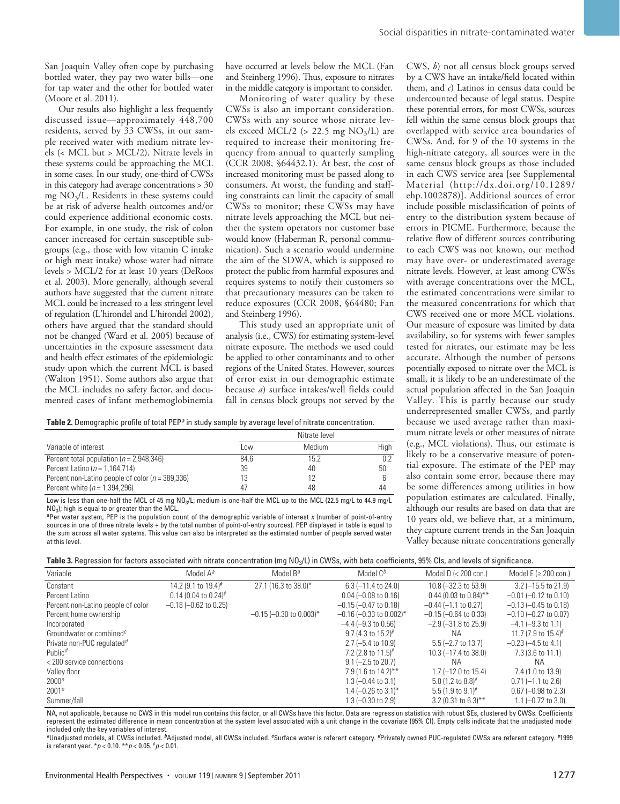CWS, *b*) not all census block groups served by a CWS have an intake/field located within

San Joaquin Valley often cope by purchasing bottled water, they pay two water bills—one for tap water and the other for bottled water (Moore et al. 2011).

Our results also highlight a less frequently discussed issue—approximately 448,700 residents, served by 33 CWSs, in our sample received water with medium nitrate levels (< MCL but > MCL/2). Nitrate levels in these systems could be approaching the MCL in some cases. In our study, one-third of CWSs in this category had average concentrations > 30 mg NO3/L. Residents in these systems could be at risk of adverse health outcomes and/or could experience additional economic costs. For example, in one study, the risk of colon cancer increased for certain susceptible subgroups (e.g., those with low vitamin C intake or high meat intake) whose water had nitrate levels > MCL/2 for at least 10 years (DeRoos et al. 2003). More generally, although several authors have suggested that the current nitrate MCL could be increased to a less stringent level of regulation (L'hirondel and L'hirondel 2002), others have argued that the standard should not be changed (Ward et al. 2005) because of uncertainties in the exposure assessment data and health effect estimates of the epidemiologic study upon which the current MCL is based (Walton 1951). Some authors also argue that the MCL includes no safety factor, and documented cases of infant methemoglobinemia

have occurred at levels below the MCL (Fan and Steinberg 1996). Thus, exposure to nitrates in the middle category is important to consider.

Monitoring of water quality by these CWSs is also an important consideration. CWSs with any source whose nitrate levels exceed MCL/2 (> 22.5 mg  $NO<sub>3</sub>/L$ ) are required to increase their monitoring frequency from annual to quarterly sampling (CCR 2008, §64432.1). At best, the cost of increased monitoring must be passed along to consumers. At worst, the funding and staffing constraints can limit the capacity of small CWSs to monitor; these CWSs may have nitrate levels approaching the MCL but neither the system operators nor customer base would know (Haberman R, personal communication). Such a scenario would undermine the aim of the SDWA, which is supposed to protect the public from harmful exposures and requires systems to notify their customers so that precautionary measures can be taken to reduce exposures (CCR 2008, §64480; Fan and Steinberg 1996).

This study used an appropriate unit of analysis (i.e., CWS) for estimating system-level nitrate exposure. The methods we used could be applied to other contaminants and to other regions of the United States. However, sources of error exist in our demographic estimate because *a*) surface intakes/well fields could fall in census block groups not served by the

**Table 2.** Demographic profile of total PEP*a* in study sample by average level of nitrate concentration.

|                                                      | Nitrate level    |        |      |
|------------------------------------------------------|------------------|--------|------|
| Variable of interest                                 | L <sub>0</sub> W | Medium | Hiah |
| Percent total population ( $n = 2.948,346$ )         | 84.6             | 15.2   |      |
| Percent Latino ( $n = 1.164, 714$ )                  | 39               | 40     | 50   |
| Percent non-Latino people of color ( $n = 389,336$ ) |                  |        |      |
| Percent white $(n = 1,394,296)$                      | 47               | 48     | 44   |

Low is less than one-half the MCL of 45 mg NO<sub>3</sub>/L; medium is one-half the MCL up to the MCL (22.5 mg/L to 44.9 mg/L NO<sub>3</sub>); high is equal to or greater than the MCL.

<sup>a</sup>Per water system, PEP is the population count of the demographic variable of interest x (number of point-of-entry sources in one of three nitrate levels ÷ by the total number of point-of-entry sources). PEP displayed in table is equal to the sum across all water systems. This value can also be interpreted as the estimated number of people served water at this level.

| Table 3. Regression for factors associated with nitrate concentration (mg NO <sub>3</sub> /L) in CWSs, with beta coefficients, 95% CIs, and levels of significance. |  |
|---------------------------------------------------------------------------------------------------------------------------------------------------------------------|--|
|---------------------------------------------------------------------------------------------------------------------------------------------------------------------|--|

| Variable                               | Model $A^a$                        | Model $B^a$               | Model $C^b$                      | Model $D \le 200$ con.)         | Model E ( $\geq$ 200 con.)   |
|----------------------------------------|------------------------------------|---------------------------|----------------------------------|---------------------------------|------------------------------|
| Constant                               | 14.2 (9.1 to $19.4$ ) <sup>#</sup> | 27.1 (16.3 to 38.0)*      | $6.3$ (-11.4 to 24.0)            | $10.8 (-32.3 to 53.9)$          | $3.2$ (-15.5 to 21.9)        |
| Percent Latino                         | $0.14$ (0.04 to 0.24) <sup>#</sup> |                           | $0.04 (-0.08 to 0.16)$           | $0.44$ (0.03 to 0.84)**         | $-0.01$ $(-0.12$ to $0.10$ ) |
| Percent non-Latino people of color     | $-0.18$ ( $-0.62$ to 0.25)         |                           | $-0.15$ $(-0.47$ to 0.18)        | $-0.44$ (-1.1 to 0.27)          | $-0.13$ $(-0.45$ to 0.18)    |
| Percent home ownership                 |                                    | $-0.15$ (-0.30 to 0.003)* | $-0.16$ (-0.33 to 0.002)*        | $-0.15$ ( $-0.64$ to 0.33)      | $-0.10$ $(-0.27$ to 0.07)    |
| Incorporated                           |                                    |                           | $-4.4$ ( $-9.3$ to 0.56)         | $-2.9$ ( $-31.8$ to 25.9)       | $-4.1$ (-9.3 to 1.1)         |
| Groundwater or combined $c$            |                                    |                           | $9.7(4.3 \text{ to } 15.2)^{\#}$ | NΑ                              | 11.7 (7.9 to $15.4$ )#       |
| Private non-PUC regulated <sup>d</sup> |                                    |                           | $2.7$ (-5.4 to 10.9)             | $5.5$ (-2.7 to 13.7)            | $-0.23$ ( $-4.5$ to 4.1)     |
| Public <sup>d</sup>                    |                                    |                           | 7.2 (2.8 to $11.5$ )#            | $10.3 (-17.4 \text{ to } 38.0)$ | $7.3(3.6 \text{ to } 11.1)$  |
| $<$ 200 service connections            |                                    |                           | $9.1 (-2.5 to 20.7)$             | NА                              | NА                           |
| Valley floor                           |                                    |                           | 7.9 (1.6 to $14.2$ )**           | $1.7$ (-12.0 to 15.4)           | 7.4 (1.0 to 13.9)            |
| 2000 <sup>e</sup>                      |                                    |                           | $1.3 (-0.44 \text{ to } 3.1)$    | $5.0(1.2 \text{ to } 8.8)^*$    | $0.71$ (-1.1 to 2.6)         |
| 2001 <sup>e</sup>                      |                                    |                           | 1.4 (-0.26 to $3.1$ )*           | $5.5(1.9 \text{ to } 9.1)^{#}$  | $0.67$ (-0.98 to 2.3)        |
| Summer/fall                            |                                    |                           | 1.3 (-0.30 to 2.9)               | 3.2 (0.31 to 6.3)**             | $1.1$ (-0.72 to 3.0)         |

NA, not applicable, because no CWS in this model run contains this factor, or all CWSs have this factor. Data are regression statistics with robust SEs, clustered by CWSs. Coefficients represent the estimated difference in mean concentration at the system level associated with a unit change in the covariate (95% CI). Empty cells indicate that the unadjusted model included only the key variables of interest.

*<sup>a</sup>*Unadjusted models, all CWSs included. *<sup>b</sup>*Adjusted model, all CWSs included. *<sup>c</sup>*Surface water is referent category. *<sup>d</sup>*Privately owned PUC-regulated CWSs are referent category. *e*1999 is referent year. \**p* < 0.10. \*\**p* < 0.05. # *p* < 0.01.

them, and *c*) Latinos in census data could be undercounted because of legal status. Despite these potential errors, for most CWSs, sources fell within the same census block groups that overlapped with service area boundaries of CWSs. And, for 9 of the 10 systems in the high-nitrate category, all sources were in the same census block groups as those included in each CWS service area [see Supplemental Material (http://dx.doi.org/10.1289/ ehp.1002878)]. Additional sources of error include possible misclassification of points of entry to the distribution system because of errors in PICME. Furthermore, because the relative flow of different sources contributing to each CWS was not known, our method may have over- or underestimated average nitrate levels. However, at least among CWSs with average concentrations over the MCL, the estimated concentrations were similar to the measured concentrations for which that CWS received one or more MCL violations. Our measure of exposure was limited by data availability, so for systems with fewer samples tested for nitrates, our estimate may be less accurate. Although the number of persons potentially exposed to nitrate over the MCL is small, it is likely to be an underestimate of the actual population affected in the San Joaquin Valley. This is partly because our study underrepresented smaller CWSs, and partly because we used average rather than maximum nitrate levels or other measures of nitrate (e.g., MCL violations). Thus, our estimate is likely to be a conservative measure of potential exposure. The estimate of the PEP may also contain some error, because there may be some differences among utilities in how population estimates are calculated. Finally, although our results are based on data that are 10 years old, we believe that, at a minimum, they capture current trends in the San Joaquin Valley because nitrate concentrations generally